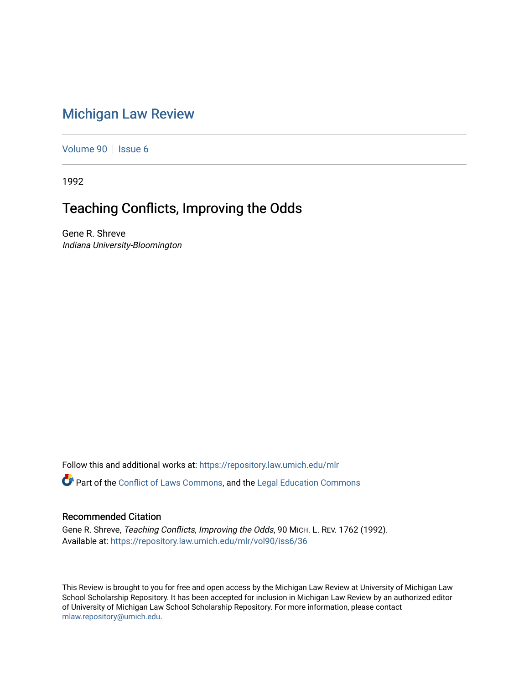# [Michigan Law Review](https://repository.law.umich.edu/mlr)

[Volume 90](https://repository.law.umich.edu/mlr/vol90) | [Issue 6](https://repository.law.umich.edu/mlr/vol90/iss6)

1992

# Teaching Conflicts, Improving the Odds

Gene R. Shreve Indiana University-Bloomington

Follow this and additional works at: [https://repository.law.umich.edu/mlr](https://repository.law.umich.edu/mlr?utm_source=repository.law.umich.edu%2Fmlr%2Fvol90%2Fiss6%2F36&utm_medium=PDF&utm_campaign=PDFCoverPages) 

**C**<sup> $\bullet$ </sup> Part of the [Conflict of Laws Commons,](http://network.bepress.com/hgg/discipline/588?utm_source=repository.law.umich.edu%2Fmlr%2Fvol90%2Fiss6%2F36&utm_medium=PDF&utm_campaign=PDFCoverPages) and the [Legal Education Commons](http://network.bepress.com/hgg/discipline/857?utm_source=repository.law.umich.edu%2Fmlr%2Fvol90%2Fiss6%2F36&utm_medium=PDF&utm_campaign=PDFCoverPages)

### Recommended Citation

Gene R. Shreve, Teaching Conflicts, Improving the Odds, 90 MICH. L. REV. 1762 (1992). Available at: [https://repository.law.umich.edu/mlr/vol90/iss6/36](https://repository.law.umich.edu/mlr/vol90/iss6/36?utm_source=repository.law.umich.edu%2Fmlr%2Fvol90%2Fiss6%2F36&utm_medium=PDF&utm_campaign=PDFCoverPages) 

This Review is brought to you for free and open access by the Michigan Law Review at University of Michigan Law School Scholarship Repository. It has been accepted for inclusion in Michigan Law Review by an authorized editor of University of Michigan Law School Scholarship Repository. For more information, please contact [mlaw.repository@umich.edu.](mailto:mlaw.repository@umich.edu)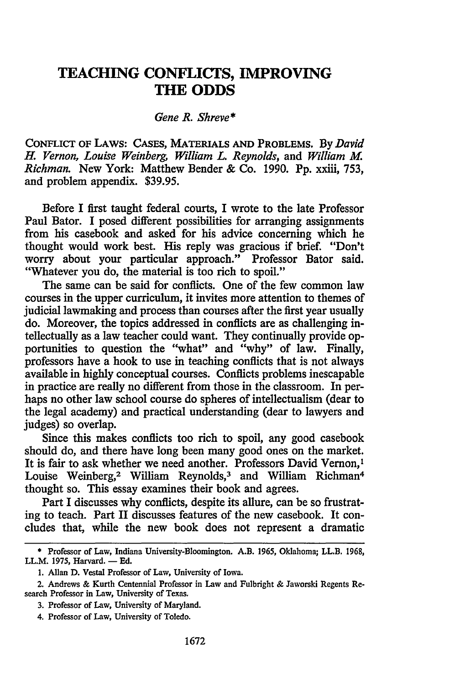## **TEACHING CONFLICTS, IMPROVING THE ODDS**

### *Gene R. Shreve\**

CONFLICT OF LAWS: CASES, MATERIALS AND PROBLEMS. By *David H. Vernon, Louise Weinberg, William L. Reynolds,* and *William M. Richman.* New York: Matthew Bender & Co. 1990. Pp. xxiii, 753, and problem appendix. \$39.95.

Before I first taught federal courts, I wrote to the late Professor Paul Bator. I posed different possibilities for arranging assignments from his casebook and asked for his advice concerning which he thought would work best. His reply was gracious if brief. "Don't worry about your particular approach." Professor Bator said. "Whatever you do, the material is too rich to spoil."

The same can be said for conflicts. One of the few common law courses in the upper curriculum, it invites more attention to themes of judicial lawmaking and process than courses after the first year usually do. Moreover, the topics addressed in conflicts are as challenging intellectually as a law teacher could want. They continually provide opportunities to question the "what" and "why" of law. Finally, professors have a hook to use in teaching conflicts that is not always available in highly conceptual courses. Conflicts problems inescapable in practice are really no different from those in the classroom. In perhaps no other law school course do spheres of intellectualism (dear to the legal academy) and practical understanding (dear to lawyers and judges) so overlap.

Since this makes conflicts too rich to spoil, any good casebook should do, and there have long been many good ones on the market. It is fair to ask whether we need another. Professors David Vernon,<sup>1</sup> Louise Weinberg,<sup>2</sup> William Reynolds,<sup>3</sup> and William Richman<sup>4</sup> thought so. This essay examines their book and agrees.

Part I discusses why conflicts, despite its allure, can be so frustrating to teach. Part II discusses features of the new casebook. It concludes that, while the new book does not represent a dramatic

2. Andrews & Kurth Centennial Professor in Law and Fulbright & Jaworski Regents Research Professor in Law, University of Texas.

<sup>\*</sup> Professor of Law, Indiana University-Bloomington. A.B. 1965, Oklahoma; LL.B. 1968, LL.M. 1975, Harvard. - Ed.

<sup>1.</sup> Allan D. Vestal Professor of Law, University of Iowa.

<sup>3.</sup> Professor of Law, University of Maryland.

<sup>4.</sup> Professor of Law, University of Toledo.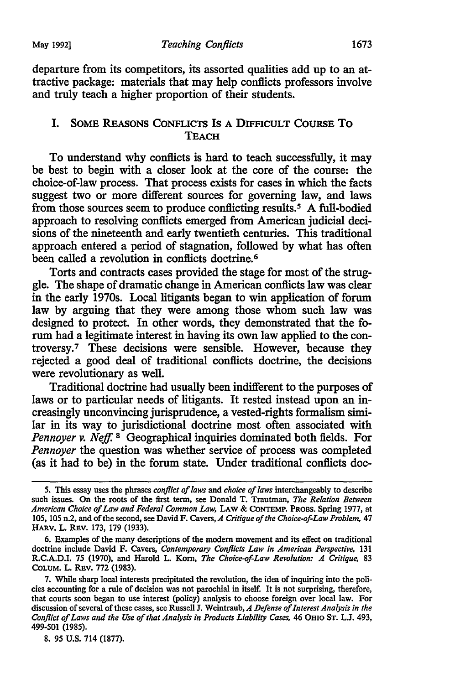departure from its competitors, its assorted qualities add up to an attractive package: materials that may help conflicts professors involve and truly teach a higher proportion of their students.

#### I. SOME REASONS CONFLICTS Is A DIFFICULT COURSE To **TEACH**

To understand why conflicts is hard to teach successfully, it may be best to begin with a closer look at the core of the course: the choice-of-law process. That process exists for cases in which the facts suggest two or more different sources for governing law, and laws from those sources seem to produce conflicting results.5 A full-bodied approach to resolving conflicts emerged from American judicial decisions of the nineteenth and early twentieth centuries. This traditional approach entered a period of stagnation, followed by what has often been called a revolution in conflicts doctrine.<sup>6</sup>

Torts and contracts cases provided the stage for most of the struggle. The shape of dramatic change in American conflicts law was clear in the early 1970s. Local litigants began to win application of forum law by arguing that they were among those whom such law was designed to protect. In other words, they demonstrated that the forum had a legitimate interest in having its own law applied to the controversy. 7 These decisions were sensible. However, because they rejected a good deal of traditional conflicts doctrine, the decisions were revolutionary as well.

Traditional doctrine had usually been indifferent to the purposes of laws or to particular needs of litigants. It rested instead upon an increasingly unconvincing jurisprudence, a vested-rights formalism similar in its way to jurisdictional doctrine most often associated with *Pennoyer v. Neff.* 8 Geographical inquiries dominated both fields. For *Pennoyer* the question was whether service of process was completed (as it had to be) in the forum state. Under traditional conflicts doc-

<sup>5.</sup> This essay uses the phrases *conflict of laws* and *choice of laws* interchangeably to describe such issues. On the roots of the first term, see Donald T. Trautman, *The Relation Between American Choice of Law and Federal Common Law,* LAW & CoNTEMP. PROBS. Spring 1977, at 105, 105 n.2, and of the second, see David F. Cavers, *A Critique of the Choice-of-Law Problem,* 47 HARV. L. REV. 173, 179 (1933).

<sup>6.</sup> Examples of the many descriptions of the modern movement and its effect on traditional doctrine include David F. Cavers, *Contemporary Conflicts Law in American Perspective,* 131 R.C.A.D.I. 75 (1970), and Harold L. Korn, *The Choice-of-Law Revolution: A Critique,* 83 COLUM. L. REV. 772 (1983).

<sup>7.</sup> While sharp local interests precipitated the revolution, the idea of inquiring into the policies accounting for a rule of decision was not parochial in itself. It is not surprising, therefore, that courts soon began to use interest (policy) analysis to choose foreign over local law. For discussion of several of these cases, see Russell J. Weintraub, *A Defense of Interest Analysis in the Conflict of Laws and the Use of that Analysis in Products Liability Cases,* 46 OHIO ST. L.J. 493, 499-501 (1985).

<sup>8. 95</sup> U.S. 714 (1877).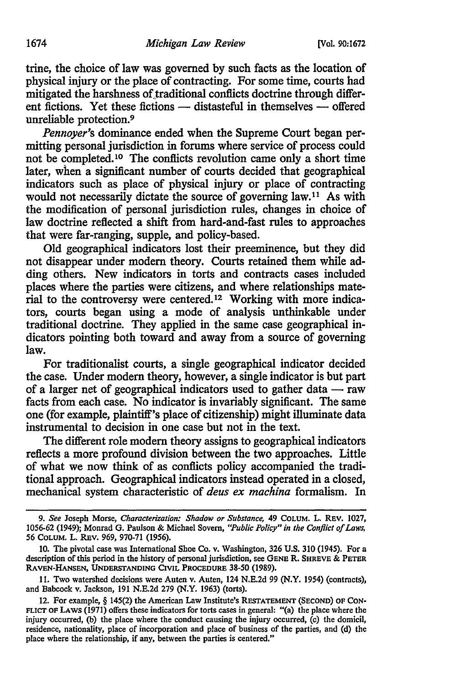trine, the choice of law was governed by such facts as the location of physical injury or the place of contracting. For some time, courts had mitigated the harshness of traditional conflicts doctrine through different fictions. Yet these fictions — distasteful in themselves — offered unreliable protection.9

*Pennoyer's* dominance ended when the Supreme Court began permitting personal jurisdiction in forums where service of process could not be completed. 10 The conflicts revolution came only a short time later, when a significant number of courts decided that geographical indicators such as place of physical injury or place of contracting would not necessarily dictate the source of governing law.<sup>11</sup> As with the modification of personal jurisdiction rules, changes in choice of law doctrine reflected a shift from hard-and-fast rules to approaches that were far-ranging, supple, and policy-based.

Old geographical indicators lost their preeminence, but they did not disappear under modem theory. Courts retained them while adding others. New indicators in torts and contracts cases included places where the parties were citizens, and where relationships material to the controversy were centered.12 Working with more indicators, courts began using a mode of analysis unthinkable under traditional doctrine. They applied in the same case geographical indicators pointing both toward and away from a source of governing law.

For traditionalist courts, a single geographical indicator decided the case. Under modem theory, however, a single indicator is but part of a larger net of geographical indicators used to gather data  $-$  raw facts from each case. No indicator is invariably significant. The same one (for example, plaintiff's place of citizenship) might illuminate data instrumental to decision in one case but not in the text.

The different role modem theory assigns to geographical indicators reflects a more profound division between the two approaches. Little of what we now think of as conflicts policy accompanied the traditional approach. Geographical indicators instead operated in a closed, mechanical system characteristic of *deus ex machina* formalism. In

11. Two watershed decisions were Auten v. Auten, 124 N.E.2d 99 (N.Y. 1954) (contracts), and Babcock v. Jackson, 191 N.E.2d 279 (N.Y. 1963) (torts).

<sup>9.</sup> *See* Joseph Morse, *Characterization: Shadow or Substance,* 49 COLUM. L. REV. 1027, 1056-62 (1949); Monrad G. Paulson & Michael Sovern, *"Public Policy" in the Conflict of Laws,*  56 CoLUM. L. REV. 969, 970-71 (1956).

<sup>10.</sup> The pivotal case was International Shoe Co. v. Washington, 326 U.S. 310 (1945). For a description of this period in the history of personal jurisdiction, see GENE R. SHREVE & PETER RAVEN-HANSEN, UNDERSTANDING CIVIL PROCEDURE 38-50 (1989).

<sup>12.</sup> For example, § 145(2) the American Law Institute's RESTATEMENT (SECOND) OF CON-FLICT OF LAWS (1971) offers these indicators for torts cases in general: "(a) the place where the injury occurred, (b) the place where the conduct causing the injury occurred, (c) the domicil, residence, nationality, place of incorporation and place of business of the parties, and (d) the place where the relationship, if any, between the parties is centered."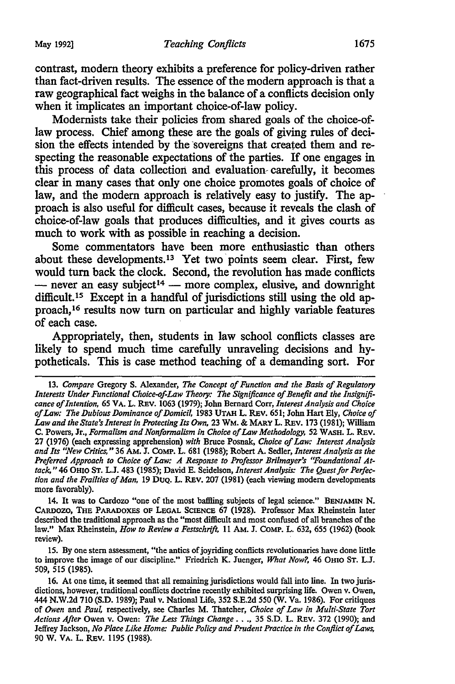contrast, modem theory exhibits a preference for policy-driven rather than fact-driven results. The essence of the modem approach is that a raw geographical fact weighs in the balance of a conflicts decision only when it implicates an important choice-of-law policy.

Modernists take their policies from shared goals of the choice-oflaw process. Chief among these are the goals of giving rules of decision the effects intended by the 'sovereigns that created them and respecting the reasonable expectations of the parties. If one engages in this process of data collection and evaluation- carefully, it becomes clear in many cases that only one choice promotes goals of choice of law, and the modern approach is relatively easy to justify. The approach is also useful for difficult cases, because it reveals the clash of choice-of-law goals that produces difficulties, and it gives courts as much to work with as possible in reaching a decision.

Some commentators have been more enthusiastic than others about these developments.<sup>13</sup> Yet two points seem clear. First, few would turn back the clock. Second, the revolution has made conflicts  $-$  never an easy subject<sup>14</sup>  $-$  more complex, elusive, and downright difficult.<sup>15</sup> Except in a handful of jurisdictions still using the old approach, 16 results now tum on particular and highly variable features of each case.

Appropriately, then, students in law school conflicts classes are likely to spend much time carefully unraveling decisions and hypotheticals. This is case method teaching of a demanding sort. For

14. It was to Cardozo "one of the most bafiling subjects of legal science." BENIAMIN N. CARDOZO, THE PARADOXES OF LEGAL SCIENCE 67 (1928). Professor Max Rheinstein later described the traditional approach as the "most difficult and most confused of all branches of the law." Max Rheinstein, *How to Review a Festschrift,* 11 AM. J. COMP. L. 632, 655 (1962) (book review).

15. By one stem assessment, "the antics of joyriding conflicts revolutionaries have done little to improve the image of our discipline." Friedrich K. Juenger, *What Now?,* 46 OHIO ST. L.J. 509, 515 (1985).

16. At one time, it seemed that all remaining jurisdictions would fall into line. In two jurisdictions, however, traditional conflicts doctrine recently exhibited surprising life. Owen v. Owen, 444 N.W.2d 710 (S.D. 1989); Paul v. National Life, 352 S.E.2d 550 (W. Va. 1986). For critiques of *Owen* and *Paul,* respectively, see Charles M. Thatcher, *Choice of Law in Multi-State Tort Actions After* Owen v. Owen: *The Less Things Change* •• ., 35 S.D. L. REv. 372 (1990); and Jeffrey Jackson, *No Place Like Home: Public Policy and Prudent Practice in the Conflict of Laws,*  90 W. VA. L. REV. 1195 (1988).

<sup>13.</sup> *Compare* Gregory S. Alexander, *The Concept of Function and the Basis of Regulatory Interests Under Functional Choice-of-Law Theory: The Significance of Benefit and the Insignificance of Intention,* 65 VA. L. REv. 1063 (1979); John Bernard Corr, *Interest Analysis and Choice of Law: The Dubious Dominance of Domicil,* 1983 UTAH L. REV. 651; John Hart Ely, *Choice of Law and the State's Interest in Protecting Its Own,* 23 WM. & MARYL. REV. 173 (1981); William C. Powers, Jr., *Formalism and Nonformalism in Choice of Law Methodology,* 52 WASH. L. REv. 27 (1976) (each expressing apprehension) *with* Bruce Posnak, *Choice of Law: Interest Analysis and Its "New Critics,"* 36 AM. J. CoMP. L. 681 (1988); Robert A. Sedler, *Interest Analysis as the Preferred Approach to Choice of Law: A Response to Professor Brilmayer's ''Foundational Attack,"* 46 OH10 ST. L.J. 483 (1985); David E. Seidelson, *Interest Analysis: The Quest for Perfection and the Frailties of Man,* 19 DUQ. L. REv. 207 (1981) (each viewing modem developments more favorably).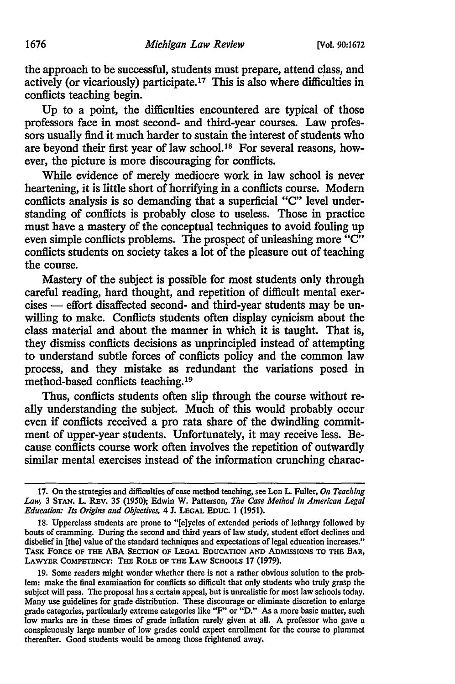the approach to be successful, students must prepare, attend class, and actively (or vicariously) participate.17 This is also where difficulties in conflicts teaching begin.

Up to a point, the difficulties encountered are typical of those professors face in most second- and third-year courses. Law professors usually find it much harder to sustain the interest of students who are beyond their first year of law school. 18 For several reasons, however, the picture is more discouraging for conflicts.

While evidence of merely mediocre work in law school is never heartening, it is little short of horrifying in a conflicts course. Modem conflicts analysis is so demanding that a superficial "C" level understanding of conflicts is probably close to useless. Those in practice must have a mastery of the conceptual techniques to avoid fouling up even simple conflicts problems. The prospect of unleashing more "C" conflicts students on society takes a lot of the pleasure out of teaching the course.

Mastery of the subject is possible for most students only through careful reading, hard thought, and repetition of difficult mental exercises — effort disaffected second- and third-year students may be unwilling to make. Conflicts students often display cynicism about the class material and about the manner in which it is taught. That is, they dismiss conflicts decisions as unprincipled instead of attempting to understand subtle forces of conflicts policy and the common law process, and they mistake as redundant the variations posed in method-based conflicts teaching.<sup>19</sup>

Thus, conflicts students often slip through the course without really understanding the subject. Much of this would probably occur even if conflicts received a pro rata share of the dwindling commitment of upper-year students. Unfortunately, it may receive less. Because conflicts course work often involves the repetition of outwardly similar mental exercises instead of the information crunching charac-

<sup>17.</sup> On the strategies and difficulties of case method teaching, see Lon L. Fuller, *On Teaching Law,* 3 STAN. L. REV. 35 (1950); Edwin W. Patterson, *The Case Method in American Legal Education: Its Origins and Objectives,* 4 J. LEGAL EDUC. 1 (1951).

<sup>18.</sup> Upperclass students are prone to "[c]ycles of extended periods of lethargy followed by bouts of cramming. During the second and third years of law study, student effort declines and disbelief in [the] value of the standard techniques and expectations of legal education increases." TASK FORCE OF THE ABA SECTION OF LEGAL EDUCATION AND ADMISSIONS TO THE BAR, LAWYER CoMPETENCY: THE ROLE OF THE LAW SCHOOLS 17 (1979).

<sup>19.</sup> Some readers might wonder whether there is not a rather obvious solution to the prob· lem: make the final examination for conflicts so difficult that only students who truly grasp the subject will pass. The proposal has a certain appeal, but is unrealistic for most law schools today. Many use guidelines for grade distribution. These discourage or eliminate discretion to enlarge grade categories, particularly extreme categories like "F' or "D." As a more basic matter, such low marks are in these times of grade inflation rarely given at all. A professor who gave a conspicuously large number of low grades could expect enrollment for the course to plummet thereafter. Good students would be among those frightened away.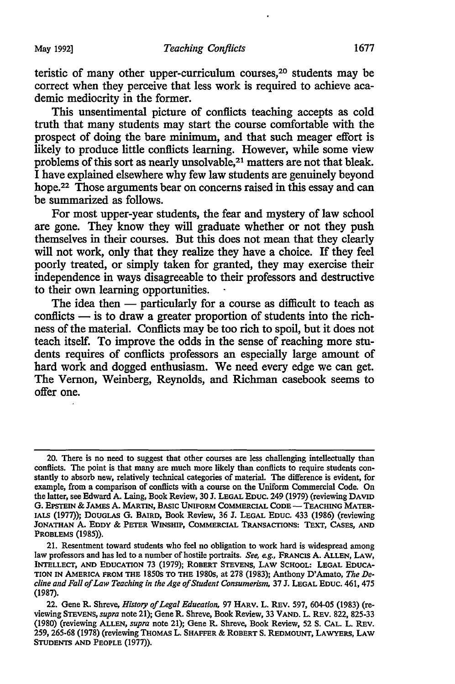teristic of many other upper-curriculum courses, 20 students may be correct when they perceive that less work is required to achieve academic mediocrity in the former.

This unsentimental picture of conflicts teaching accepts as cold truth that many students may start the course comfortable with the prospect of doing the bare minimum, and that such meager effort is likely to produce little conflicts learning. However, while some view problems of this sort as nearly unsolvable,<sup>21</sup> matters are not that bleak. I have explained elsewhere why few law students are genuinely beyond hope.<sup>22</sup> Those arguments bear on concerns raised in this essay and can be summarized as follows.

For most upper-year students, the fear and mystery of law school are gone. They know they will graduate whether or not they push themselves in their courses. But this does not mean that they clearly will not work, only that they realize they have a choice. If they feel poorly treated, or simply taken for granted, they may exercise their independence in ways disagreeable to their professors and destructive to their own learning opportunities.

The idea then — particularly for a course as difficult to teach as conflicts  $-$  is to draw a greater proportion of students into the richness of the material. Conflicts may be too rich to spoil, but it does not teach itself. To improve the odds in the sense of reaching more students requires of conflicts professors an especially large amount of hard work and dogged enthusiasm. We need every edge we can get. The Vernon, Weinberg, Reynolds, and Richman casebook seems to offer one.

<sup>20.</sup> There is no need to suggest that other courses are less challenging intellectually than conflicts. The point is that many are much more likely than conflicts to require students constantly to absorb new, relatively technical categories of material. The difference is evident, for example, from a comparison of conflicts with a course on the Uniform Commercial Code. On the latter, see Edward A. Laing, Book Review, 30 J. LEGAL EDUC. 249 (1979) (reviewing DAVID G. EPSTEIN & JAMES A. MARTIN, BASIC UNIFORM COMMERCIAL CODE - TEACHING MATER-IALS (1977)); DOUGLAS G. BAIRD, Book Review, 36 J. LEGAL EDUC. 433 (1986) (reviewing JONATHAN A. EDDY & PETER WINSHIP, CoMMERCIAL TRANSACTIONS: TExT, CASES, AND PROBLEMS (1985)).

<sup>21.</sup> Resentment toward students who feel no obligation to work hard is widespread among law professors and has led to a number of hostile portraits. *See, e.g.,* FRANCIS A. ALLEN, LAW, INTELLECT, AND EDUCATION 73 (1979); ROBERT STEVENS, LAW SCHOOL: LEGAL EDUCA-TION IN AMERICA FROM THE 1850s TO THE 1980s, at 278 (1983); Anthony D'Amato, *The Decline and Fall of Law Teaching in the Age of Student Consumerism,* 37 J. LEGAL EDUC. 461, 475 (1987).

<sup>22.</sup> Gene R. Shreve, *History of Legal Education,* 97 HARV. L. REv. 597, 604-05 (1983) (reviewing STEVENS, *supra* note 21); Gene R. Shreve, Book Review, 33 V AND. L. REv. 822, 825-33 (1980) (reviewing ALLEN, *supra* note 21); Gene R. Shreve, Book Review, 52 S. CAL. L. REv. 259, 265-68 (1978) (reviewing THOMAS L. SHAFFER & ROBERT s. REDMOUNT, LAWYERS, LAW STUDENTS AND PEOPLE (1977)).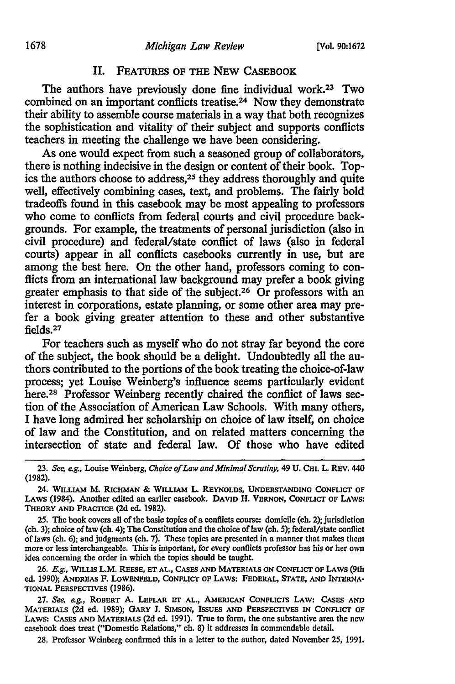### II. FEATURES OF THE NEW CASEBOOK

The authors have previously done fine individual work.23 Two combined on an important conflicts treatise.<sup>24</sup> Now they demonstrate their ability to assemble course materials in a way that both recognizes the sophistication and vitality of their subject and supports conflicts teachers in meeting the challenge we have been considering.

As one would expect from such a seasoned group of collaborators, there is nothing indecisive in the design or content of their book. *Top*ics the authors choose to address,<sup>25</sup> they address thoroughly and quite well, effectively combining cases, text, and problems. The fairly bold tradeoffs found in this casebook may be most appealing to professors who come to conflicts from federal courts and civil procedure backgrounds. For example, the treatments of personal jurisdiction (also in civil procedure) and federal/state conflict of laws (also in federal courts) appear in all conflicts casebooks currently in use, but are among the best here. On the other hand, professors coming to conflicts from an international law background may prefer a book giving greater emphasis to that side of the subject.26 Or professors with an interest in corporations, estate planning, or some other area may prefer a book giving greater attention to these and other substantive fields. <sup>27</sup>

For teachers such as myself who do not stray far beyond the core of the subject, the book should be a delight. Undoubtedly all the authors contributed to the portions of the book treating the choice-of-law process; yet Louise Weinberg's influence seems particularly evident here.<sup>28</sup> Professor Weinberg recently chaired the conflict of laws section of the Association of American Law Schools. With many others, I have long admired her scholarship on choice of law itself, on choice of law and the Constitution, and on related matters concerning the intersection of state and federal law. Of those who have edited

27. *See, e.g.,* ROBERT A. LEFLAR ET AL., AMERICAN CoNFLICTS LAW: CASES AND MATERIALS (2d ed. 1989); GARY J. SIMSON, ISSUES AND PERSPECTIVES IN CONFLICT OF LAWS: CASES AND MATERIALS (2d ed. 1991). True to form, the one substantive area the new casebook does treat ("Domestic Relations," ch. 8) it addresses in commendable detail.

28. Professor Weinberg confirmed this in a letter to the author, dated November 25, 1991.

<sup>23.</sup> *See, e.g.,* Louise Weinberg, *Choice of Law and Minimal Scrutiny,* 49 U. CHI. L. REV. 440 (1982).

<sup>24.</sup> WILLIAM M. RICHMAN & WILLIAM L. REYNOLDS, UNDERSTANDING CONFLICT OF LAWS (1984). Another edited an earlier casebook. DAVID H. VERNON, CoNFLICT OF LAWS: THEORY AND PRACTICE (2d ed. 1982).

<sup>25.</sup> The book covers all of the basic topics of a conflicts course: domicile (ch. 2); jurisdiction (ch. 3); choice of law (ch. 4); The Constitution and the choice of law (ch. 5); federal/state conflict oflaws (ch. 6); and judgments (ch. 7j. These topics are presented in a manner that makes them more or less interchangeable. This is important, for every conflicts professor has his or her own idea concerning the order in which the topics should be taught.

<sup>26.</sup> E.g., WILLIS L.M. REESE, ET AL., CASES AND MATERIALS ON CONFLICT OF LAWS (9th ed. 1990); ANDREAS F. LoWENFELD, CoNFLICT OF LAWS: FEDERAL, STATE, AND INTERNA· TIONAL PERSPECTIVES (1986). ,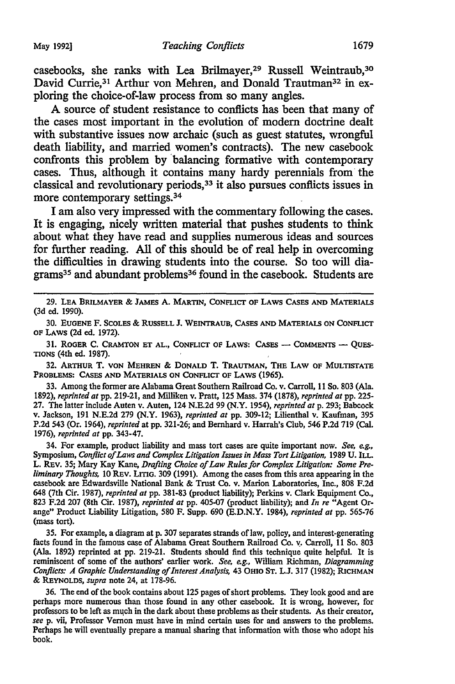casebooks, she ranks with Lea Brilmayer,29 Russell Weintraub,30 David Currie,<sup>31</sup> Arthur von Mehren, and Donald Trautman<sup>32</sup> in exploring the choice-of-law process from so many angles.

A source of student resistance to conflicts has been that many of the cases most important in the evolution of modem doctrine dealt with substantive issues now archaic (such as guest statutes, wrongful death liability, and married women's contracts). The new casebook confronts this problem by 'balancing formative with contemporary cases. Thus, although it contains many hardy perennials from· the classical and revolutionary periods, 33 it also pursues conflicts issues in more contemporary settings.<sup>34</sup>

I am also very impressed with the commentary following the cases. It is engaging, nicely written material that pushes students to think about what they have read and supplies numerous ideas and sources for further reading. All of this should be of real help in overcoming the difficulties in drawing students into the course. So too will diagrams<sup>35</sup> and abundant problems<sup>36</sup> found in the casebook. Students are

31. ROGER C. CRAMTON ET AL., CONFLICT OF LAWS: CASES - COMMENTS - QUES-TIONS (4th ed. 1987).

32. ARTHUR T. VON MEHREN & DONALD T. TRAUTMAN, THE LAW OF MULTISTATE PROBLEMS: CASES AND MATERIALS ON CoNFLICT OF LAWS (1965).

33. Among the former are Alabama Great Southern Railroad Co. v. Carroll, 11 So. 803 (Ala. 1892), *reprinted at* pp. 219-21, and Milliken v. Pratt, 125 Mass. 374 (1878), *reprinted at* pp. 225- 27. The latter include Auten v. Auten, 124 N.E.2d 99 (N.Y. 1954), *reprinted at* p. 293; Babcock v. Jackson, 191 N.E.2d 279 (N.Y. 1963), *reprinted at* pp. 309-12; Lilienthal v. Kaufman, 395 P.2d 543 (Or. 1964), *reprinted* at pp. 321-26; and Bernhard v. Harrah's Club, 546 P.2d 719 (Cal. 1976), *reprinted at* pp. 343-47.

34. For example, product liability and mass tort cases are quite important now. *See, e.g.,*  Symposium, *Conflict of Laws and Complex Litigation Issues in Mass Tort Litigation,* 1989 U. ILL. L. REv. 35; Mary Kay Kane, *Drafting Choice of Law Rules for Complex Litigation: Some Preliminary Thoughts,* 10 REV. LITIG. 309 (1991). Among the cases from this area appearing in the casebook are Edwardsville National Bank & Trust Co. v. Marion Laboratories, Inc., 808 F.2d 648 (7th Cir. 1987), *reprinted at* pp. 381-83 (product liability); Perkins v. Clark Equipment Co., 823 F.2d 207 (8th Cir. 1987), *reprinted at* pp. 405-07 (product liability); and *In re* "Agent Orange" Product Liability Litigation, 580 F. Supp. 690 (E.D.N.Y. 1984), *reprinted at* pp. 565-76 (mass tort).

35. For example, a diagram at p. 307 separates strands of law, policy, and interest-generating facts found in the famous case of Alabama Great Southern Railroad Co. v. Carroll, 11 So. 803 (Ala. 1892) reprinted at pp. 219-21. Students should find this technique quite helpful. It is reminiscent of some of the authors' earlier work. *See, e.g.,* William Richman, *Diagramming Conflicts: A Graphic Understanding of Interest Analysis,* 43 OHIO ST. L.J. 317 (1982); RICHMAN & REYNOLDS, *supra* note 24, at 178-96.

36. The end of the book contains about 125 pages of short problems. They look good and are perhaps more numerous than those found in any other casebook. It is wrong, however, for professors to be left as much in the dark about these problems as their students. As their creator, *see* p. vii, Professor Vernon must have in mind certain uses for and answers to the problems. Perhaps he will eventually prepare a manual sharing that information with those who adopt his book.

<sup>29.</sup> LEA BRILMAYER & JAMES A. MARTIN, CoNFLICT OF LAWS CASES AND MATERIALS (3d ed. 1990).

<sup>30.</sup> EUGENE F. SCOLES & RUSSELL J. WEINTRAUB, CASES AND MATERIALS ON CoNFLICT OF LAWS (2d ed. 1972).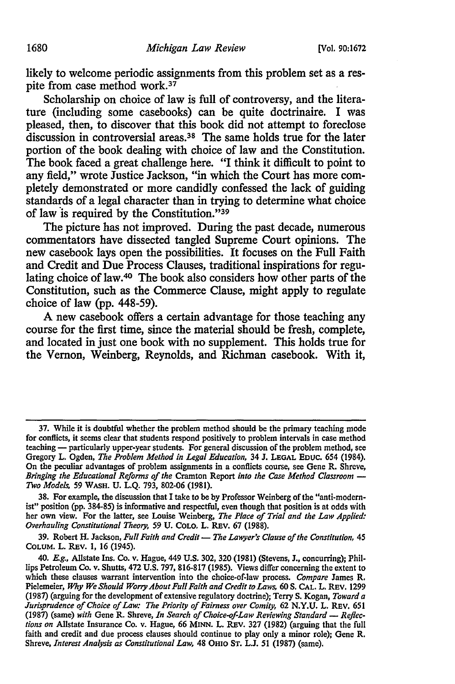likely to welcome periodic assignments from this problem set as a respite from case method work. *31* 

Scholarship on choice of law is full of controversy, and the literature (including some casebooks) can be quite doctrinaire. I was pleased, then, to discover that this book did not attempt to foreclose discussion in controversial areas. 38 The same holds true for the later portion of the book dealing with choice of law and the Constitution. The book faced a great challenge here. "I think it difficult to point to any field," wrote Justice Jackson, "in which the Court has more completely demonstrated or more candidly confessed the lack of guiding standards of a legal character than in trying to determine what choice of law is required by the Constitution."<sup>39</sup>

The picture has not improved. During the past decade, numerous commentators have dissected tangled Supreme Court opinions. The new casebook lays open the possibilities. It focuses on the Full Faith and Credit and Due Process Clauses, traditional inspirations for regulating choice of law.<sup>40</sup> The book also considers how other parts of the Constitution, such as the Commerce Clause, might apply to regulate choice of law (pp. 448-59).

A new casebook offers a certain advantage for those teaching any course for the first time, since the material should be fresh, complete, and located in just one book with no supplement. This holds true for the Vernon, Weinberg, Reynolds, and Richman casebook. With it,

39. Robert H. Jackson, *Full Faith and Credit* - *The Lawyer's Clause of the Constitution*, 45 CoLUM. L. REV. 1, 16 (1945).

<sup>37.</sup> While it is doubtful whether the problem method should be the primary teaching mode for conflicts, it seems clear that students respond positively to problem intervals in case method teaching — particularly upper-year students. For general discussion of the problem method, see Gregory L. Ogden, *The Problem Method in Legal Education,* 34 J. LEGAL EDUC. 654 (1984). On the peculiar advantages of problem assignments in a conflicts course, see Gene R. Shreve, *Bringing the Educational Reforms of the Cramton Report into the Case Method Classroom*  $-$ *Two Models,* 59 WASH. U. L.Q. 793, 802-06 (1981).

<sup>38.</sup> For example, the discussion that I take to be by Professor Weinberg of the "anti-modernist" position (pp. 384-85) is informative and respectful, even though that position is at odds with her own view. For the latter, see Louise Weinberg, *The Place of Trial and the Law Applied: Overhauling Constitutional Theory,* 59 U. COLO. L. REv. 67 (1988).

<sup>40.</sup> *E.g.,* Allstate Ins. Co. v. Hague, 449 U.S. 302, 320 (1981) (Stevens, J., concurring); Phillips Petroleum Co. v. Shutts, 472 U.S. 797, 816-817 (1985). Views differ concerning the extent to which these clauses warrant intervention into the choice-of-law process. *Compare* James R. Pielemeier, *Why We Should Worry About Full Faith and Credit to Lows,* 60 S. CAL. L. REV. 1299 (1987) (arguing for the development of extensive regulatory doctrine); Terry S. Kogan, *Toward a Jurisprudence of Choice of Low: The Priority of Fairness over Comity,* 62 N.Y.U. L. REV. 651 (1987) (same) with Gene R. Shreve, *In Search of Choice-of-Law Reviewing Standard* - *Reflections on* Allstate Insurance Co. v. Hague, 66 MINN. L. REv. 327 (1982) (arguing that the full faith and credit and due process clauses should continue to play only a minor role); Gene R. Shreve, *Interest Analysis as Constitutional Low,* 48 OHIO ST. L.J. 51 (1987) (same).